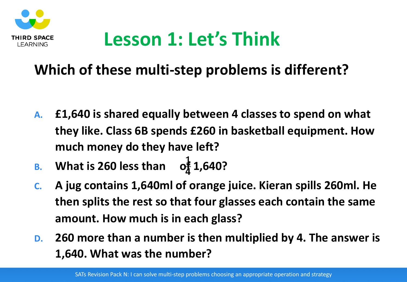

#### **Lesson 1: Let's Think**

#### **Which of these multi-step problems is different?**

- **A. £1,640 is shared equally between 4 classes to spend on what they like. Class 6B spends £260 in basketball equipment. How much money do they have left?**
- **B. What is 260 less than**  $1 \nightharpoonup$ **4**
- **C. A jug contains 1,640ml of orange juice. Kieran spills 260ml. He then splits the rest so that four glasses each contain the same amount. How much is in each glass?**
- **D. 260 more than a number is then multiplied by 4. The answer is 1,640. What was the number?**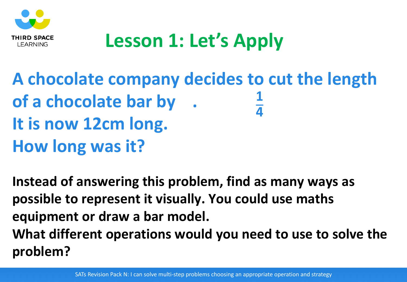

## **Lesson 1: Let's Apply**

**A chocolate company decides to cut the length of a chocolate bar by . It is now 12cm long. How long was it? 1 4**

**Instead of answering this problem, find as many ways as possible to represent it visually. You could use maths equipment or draw a bar model. What different operations would you need to use to solve the problem?**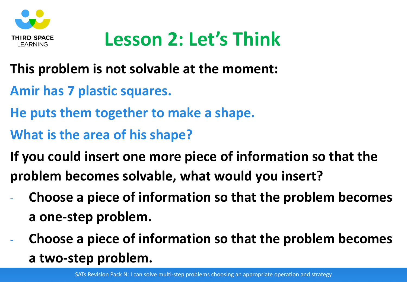

## **Lesson 2: Let's Think**

- **This problem is not solvable at the moment:**
- **Amir has 7 plastic squares.**
- **He puts them together to make a shape.**
- **What is the area of his shape?**
- **If you could insert one more piece of information so that the problem becomes solvable, what would you insert?**
- **Choose a piece of information so that the problem becomes a one-step problem.**
- **Choose a piece of information so that the problem becomes a two-step problem.**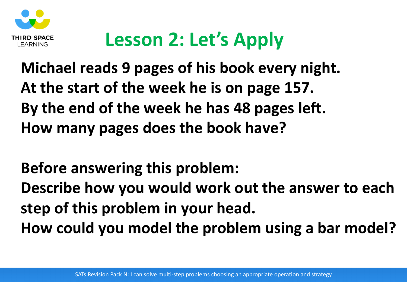

## **Lesson 2: Let's Apply**

**Michael reads 9 pages of his book every night. At the start of the week he is on page 157. By the end of the week he has 48 pages left. How many pages does the book have?**

**Before answering this problem: Describe how you would work out the answer to each step of this problem in your head. How could you model the problem using a bar model?**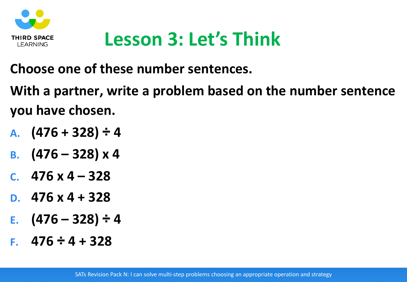

#### **Lesson 3: Let's Think**

**Choose one of these number sentences.**

**With a partner, write a problem based on the number sentence you have chosen.**

- **A. (476 + 328) ÷ 4**
- **B. (476 – 328) x 4**
- **C. 476 x 4 – 328**
- **D. 476 x 4 + 328**
- **E. (476 – 328) ÷ 4**
- **F. 476 ÷ 4 + 328**